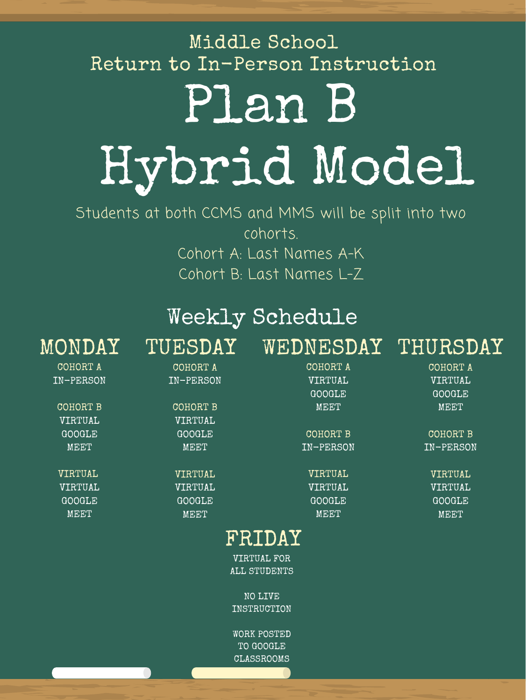Students at both CCMS and MMS will be split into two cohorts. Cohort A: Last Names A-K Cohort B: Last Names L-Z

## Plan B Hybrid Model Middle School Return to In-Person Instruction

## Weekly Schedule MONDAY TUESDAY WEDNESDAY THURSDAY

| COHORT A      | COHORT A      | COHORT A  | COHORT A      |
|---------------|---------------|-----------|---------------|
| IN-PERSON     | IN-PERSON     | VIRTUAL   | VIRTUAL       |
|               |               | GOOGLE    | <b>GOOGLE</b> |
| COHORT B      | COHORT B      | MEET      | MEET          |
| VIRTUAL       | VIRTUAL       |           |               |
| GOOGLE        | GOOGLE        | COHORT B  | COHORT B      |
| MEET          | MEET          | IN-PERSON | IN-PERSON     |
|               |               |           |               |
| VIRTUAL       | VIRTUAL       | VIRTUAL   | VIRTUAL       |
| VIRTUAL       | VIRTUAL       | VIRTUAL   | VIRTUAL       |
| <b>GOOGLE</b> | <b>GOOGLE</b> | GOOGLE    | <b>GOOGLE</b> |
| MEET          | MEET          | MEET      | MEET          |
|               |               |           |               |

## FRIDAY

VIRTUAL FOR ALL STUDENTS

NO LIVE INSTRUCTION

WORK POSTED TO GOOGLE CLASSROOMS